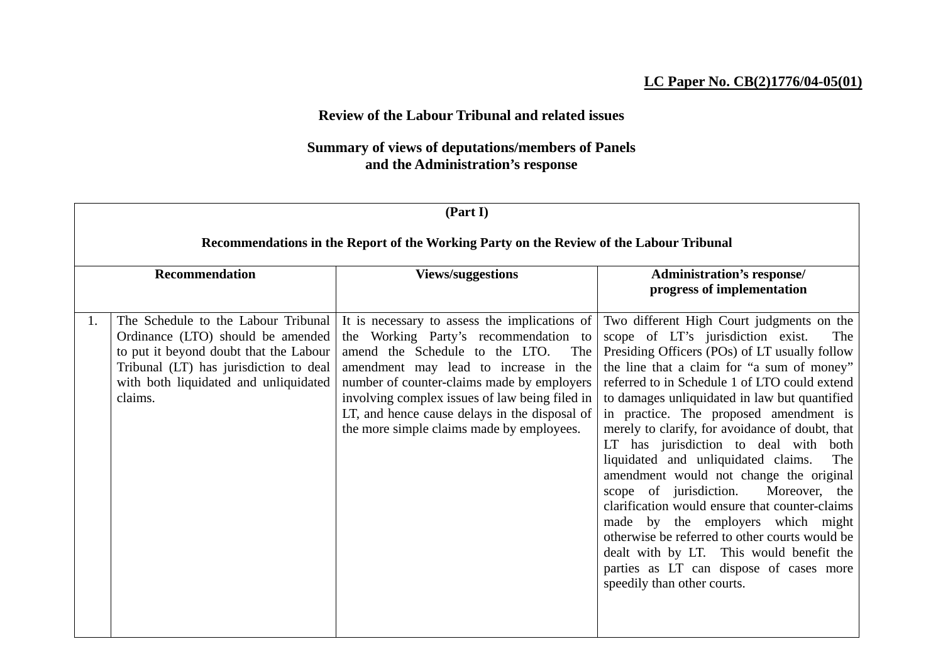## **LC Paper No. CB(2)1776/04-05(01)**

## **Review of the Labour Tribunal and related issues**

## **Summary of views of deputations/members of Panels and the Administration's response**

| (Part I) |                                                                                                                                                                                                                  |                                                                                                                                                                                                                                                                                                                                                                        |                                                                                                                                                                                                                                                                                                                                                                                                                                                                                                                                                                                                                                                                                                                                                                                                                              |  |
|----------|------------------------------------------------------------------------------------------------------------------------------------------------------------------------------------------------------------------|------------------------------------------------------------------------------------------------------------------------------------------------------------------------------------------------------------------------------------------------------------------------------------------------------------------------------------------------------------------------|------------------------------------------------------------------------------------------------------------------------------------------------------------------------------------------------------------------------------------------------------------------------------------------------------------------------------------------------------------------------------------------------------------------------------------------------------------------------------------------------------------------------------------------------------------------------------------------------------------------------------------------------------------------------------------------------------------------------------------------------------------------------------------------------------------------------------|--|
|          | Recommendations in the Report of the Working Party on the Review of the Labour Tribunal                                                                                                                          |                                                                                                                                                                                                                                                                                                                                                                        |                                                                                                                                                                                                                                                                                                                                                                                                                                                                                                                                                                                                                                                                                                                                                                                                                              |  |
|          | <b>Recommendation</b><br><b>Views/suggestions</b>                                                                                                                                                                |                                                                                                                                                                                                                                                                                                                                                                        | <b>Administration's response/</b><br>progress of implementation                                                                                                                                                                                                                                                                                                                                                                                                                                                                                                                                                                                                                                                                                                                                                              |  |
| 1.       | The Schedule to the Labour Tribunal<br>Ordinance (LTO) should be amended<br>to put it beyond doubt that the Labour<br>Tribunal (LT) has jurisdiction to deal<br>with both liquidated and unliquidated<br>claims. | It is necessary to assess the implications of<br>the Working Party's recommendation to<br>amend the Schedule to the LTO.<br>The<br>amendment may lead to increase in the<br>number of counter-claims made by employers<br>involving complex issues of law being filed in<br>LT, and hence cause delays in the disposal of<br>the more simple claims made by employees. | Two different High Court judgments on the<br>scope of LT's jurisdiction exist.<br>The<br>Presiding Officers (POs) of LT usually follow<br>the line that a claim for "a sum of money"<br>referred to in Schedule 1 of LTO could extend<br>to damages unliquidated in law but quantified<br>in practice. The proposed amendment is<br>merely to clarify, for avoidance of doubt, that<br>LT has jurisdiction to deal with both<br>liquidated and unliquidated claims.<br>The<br>amendment would not change the original<br>scope of jurisdiction. Moreover, the<br>clarification would ensure that counter-claims<br>made by the employers which might<br>otherwise be referred to other courts would be<br>dealt with by LT. This would benefit the<br>parties as LT can dispose of cases more<br>speedily than other courts. |  |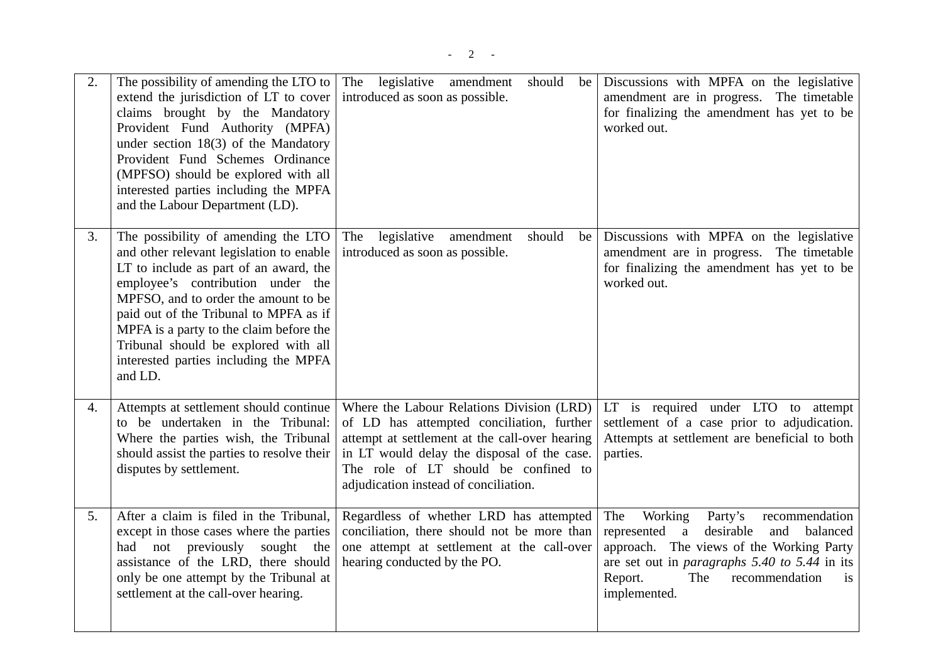| 2.               | The possibility of amending the LTO to<br>extend the jurisdiction of LT to cover<br>claims brought by the Mandatory<br>Provident Fund Authority (MPFA)<br>under section $18(3)$ of the Mandatory<br>Provident Fund Schemes Ordinance<br>(MPFSO) should be explored with all<br>interested parties including the MPFA<br>and the Labour Department (LD).                                 | The legislative amendment<br>should<br>be<br>introduced as soon as possible.                                                                                                                                                                                             | Discussions with MPFA on the legislative<br>amendment are in progress. The timetable<br>for finalizing the amendment has yet to be<br>worked out.                                                                                                                  |
|------------------|-----------------------------------------------------------------------------------------------------------------------------------------------------------------------------------------------------------------------------------------------------------------------------------------------------------------------------------------------------------------------------------------|--------------------------------------------------------------------------------------------------------------------------------------------------------------------------------------------------------------------------------------------------------------------------|--------------------------------------------------------------------------------------------------------------------------------------------------------------------------------------------------------------------------------------------------------------------|
| 3.               | The possibility of amending the LTO<br>and other relevant legislation to enable<br>LT to include as part of an award, the<br>employee's contribution under the<br>MPFSO, and to order the amount to be<br>paid out of the Tribunal to MPFA as if<br>MPFA is a party to the claim before the<br>Tribunal should be explored with all<br>interested parties including the MPFA<br>and LD. | legislative<br>should<br>The<br>amendment<br>be<br>introduced as soon as possible.                                                                                                                                                                                       | Discussions with MPFA on the legislative<br>amendment are in progress. The timetable<br>for finalizing the amendment has yet to be<br>worked out.                                                                                                                  |
| $\overline{4}$ . | Attempts at settlement should continue<br>to be undertaken in the Tribunal:<br>Where the parties wish, the Tribunal<br>should assist the parties to resolve their<br>disputes by settlement.                                                                                                                                                                                            | Where the Labour Relations Division (LRD)<br>of LD has attempted conciliation, further<br>attempt at settlement at the call-over hearing<br>in LT would delay the disposal of the case.<br>The role of LT should be confined to<br>adjudication instead of conciliation. | LT is required under LTO to attempt<br>settlement of a case prior to adjudication.<br>Attempts at settlement are beneficial to both<br>parties.                                                                                                                    |
| 5.               | After a claim is filed in the Tribunal,<br>except in those cases where the parties<br>had not previously sought the<br>assistance of the LRD, there should<br>only be one attempt by the Tribunal at<br>settlement at the call-over hearing.                                                                                                                                            | Regardless of whether LRD has attempted<br>conciliation, there should not be more than<br>one attempt at settlement at the call-over<br>hearing conducted by the PO.                                                                                                     | The<br>Working<br>Party's<br>recommendation<br>represented a desirable<br>and<br>balanced<br>approach. The views of the Working Party<br>are set out in <i>paragraphs</i> 5.40 to 5.44 in its<br>Report.<br>The<br>recommendation<br>$\frac{1}{1}$<br>implemented. |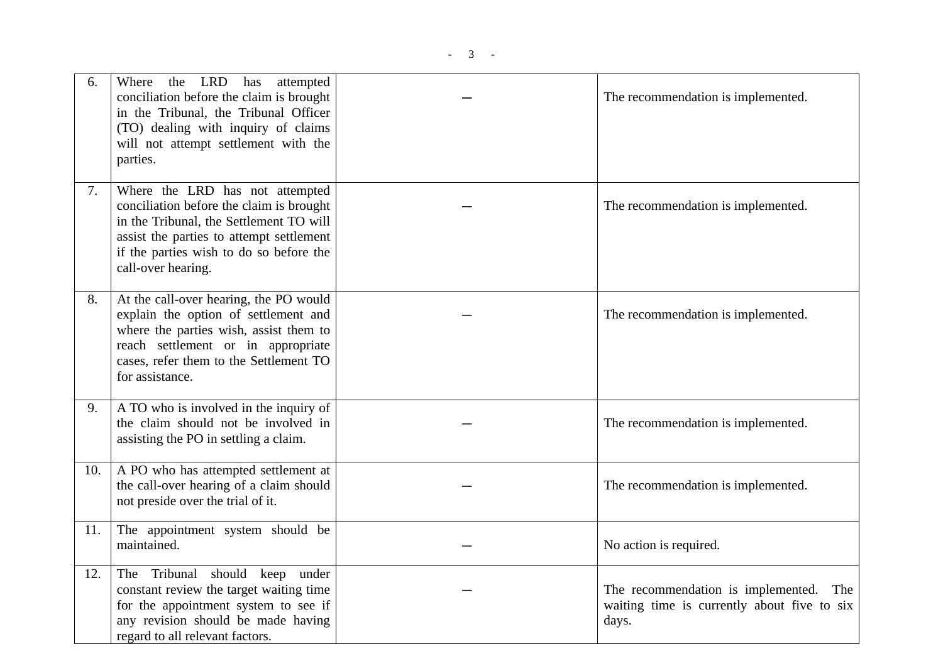| 6.  | the LRD has attempted<br>Where<br>conciliation before the claim is brought<br>in the Tribunal, the Tribunal Officer<br>(TO) dealing with inquiry of claims<br>will not attempt settlement with the<br>parties.                      | The recommendation is implemented.                                                             |
|-----|-------------------------------------------------------------------------------------------------------------------------------------------------------------------------------------------------------------------------------------|------------------------------------------------------------------------------------------------|
| 7.  | Where the LRD has not attempted<br>conciliation before the claim is brought<br>in the Tribunal, the Settlement TO will<br>assist the parties to attempt settlement<br>if the parties wish to do so before the<br>call-over hearing. | The recommendation is implemented.                                                             |
| 8.  | At the call-over hearing, the PO would<br>explain the option of settlement and<br>where the parties wish, assist them to<br>reach settlement or in appropriate<br>cases, refer them to the Settlement TO<br>for assistance.         | The recommendation is implemented.                                                             |
| 9.  | A TO who is involved in the inquiry of<br>the claim should not be involved in<br>assisting the PO in settling a claim.                                                                                                              | The recommendation is implemented.                                                             |
| 10. | A PO who has attempted settlement at<br>the call-over hearing of a claim should<br>not preside over the trial of it.                                                                                                                | The recommendation is implemented.                                                             |
| 11. | The appointment system should be<br>maintained.                                                                                                                                                                                     | No action is required.                                                                         |
| 12. | The Tribunal should keep under<br>constant review the target waiting time<br>for the appointment system to see if<br>any revision should be made having<br>regard to all relevant factors.                                          | The recommendation is implemented. The<br>waiting time is currently about five to six<br>days. |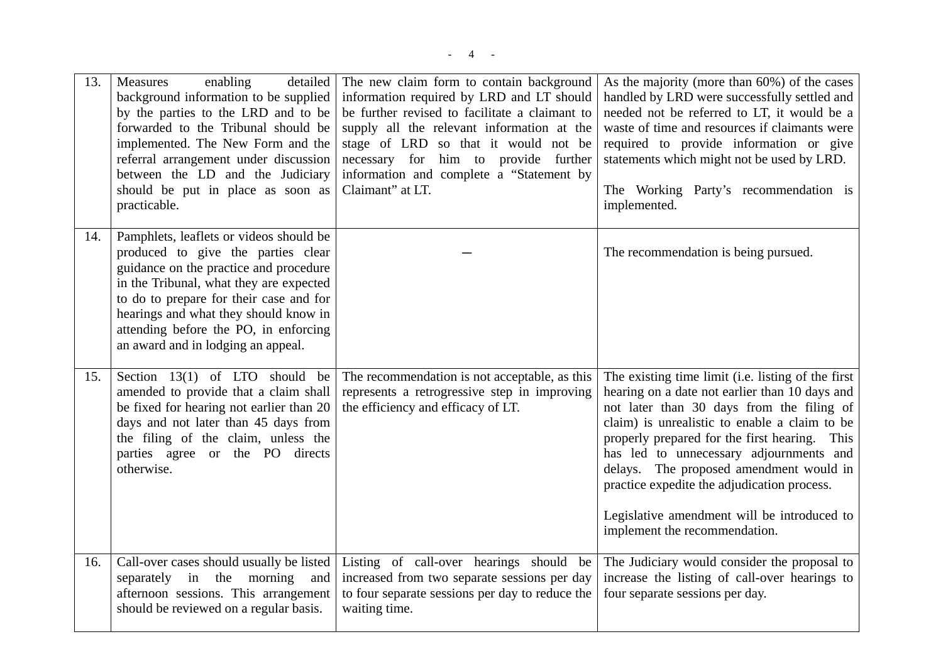| 13. | Measures<br>enabling<br>detailed<br>background information to be supplied<br>by the parties to the LRD and to be<br>forwarded to the Tribunal should be<br>implemented. The New Form and the<br>referral arrangement under discussion<br>between the LD and the Judiciary<br>should be put in place as soon as<br>practicable.        | The new claim form to contain background<br>information required by LRD and LT should<br>be further revised to facilitate a claimant to<br>supply all the relevant information at the<br>stage of LRD so that it would not be<br>necessary for him to provide further<br>information and complete a "Statement by<br>Claimant" at LT. | As the majority (more than 60%) of the cases<br>handled by LRD were successfully settled and<br>needed not be referred to LT, it would be a<br>waste of time and resources if claimants were<br>required to provide information or give<br>statements which might not be used by LRD.<br>The Working Party's recommendation is<br>implemented.                                                                                                                           |
|-----|---------------------------------------------------------------------------------------------------------------------------------------------------------------------------------------------------------------------------------------------------------------------------------------------------------------------------------------|---------------------------------------------------------------------------------------------------------------------------------------------------------------------------------------------------------------------------------------------------------------------------------------------------------------------------------------|--------------------------------------------------------------------------------------------------------------------------------------------------------------------------------------------------------------------------------------------------------------------------------------------------------------------------------------------------------------------------------------------------------------------------------------------------------------------------|
| 14. | Pamphlets, leaflets or videos should be<br>produced to give the parties clear<br>guidance on the practice and procedure<br>in the Tribunal, what they are expected<br>to do to prepare for their case and for<br>hearings and what they should know in<br>attending before the PO, in enforcing<br>an award and in lodging an appeal. |                                                                                                                                                                                                                                                                                                                                       | The recommendation is being pursued.                                                                                                                                                                                                                                                                                                                                                                                                                                     |
| 15. | Section $13(1)$ of LTO should be<br>amended to provide that a claim shall<br>be fixed for hearing not earlier than 20<br>days and not later than 45 days from<br>the filing of the claim, unless the<br>parties agree or the PO directs<br>otherwise.                                                                                 | The recommendation is not acceptable, as this<br>represents a retrogressive step in improving<br>the efficiency and efficacy of LT.                                                                                                                                                                                                   | The existing time limit (i.e. listing of the first<br>hearing on a date not earlier than 10 days and<br>not later than 30 days from the filing of<br>claim) is unrealistic to enable a claim to be<br>properly prepared for the first hearing. This<br>has led to unnecessary adjournments and<br>delays. The proposed amendment would in<br>practice expedite the adjudication process.<br>Legislative amendment will be introduced to<br>implement the recommendation. |
| 16. | Call-over cases should usually be listed<br>separately in the morning and<br>afternoon sessions. This arrangement<br>should be reviewed on a regular basis.                                                                                                                                                                           | Listing of call-over hearings should be<br>increased from two separate sessions per day<br>to four separate sessions per day to reduce the<br>waiting time.                                                                                                                                                                           | The Judiciary would consider the proposal to<br>increase the listing of call-over hearings to<br>four separate sessions per day.                                                                                                                                                                                                                                                                                                                                         |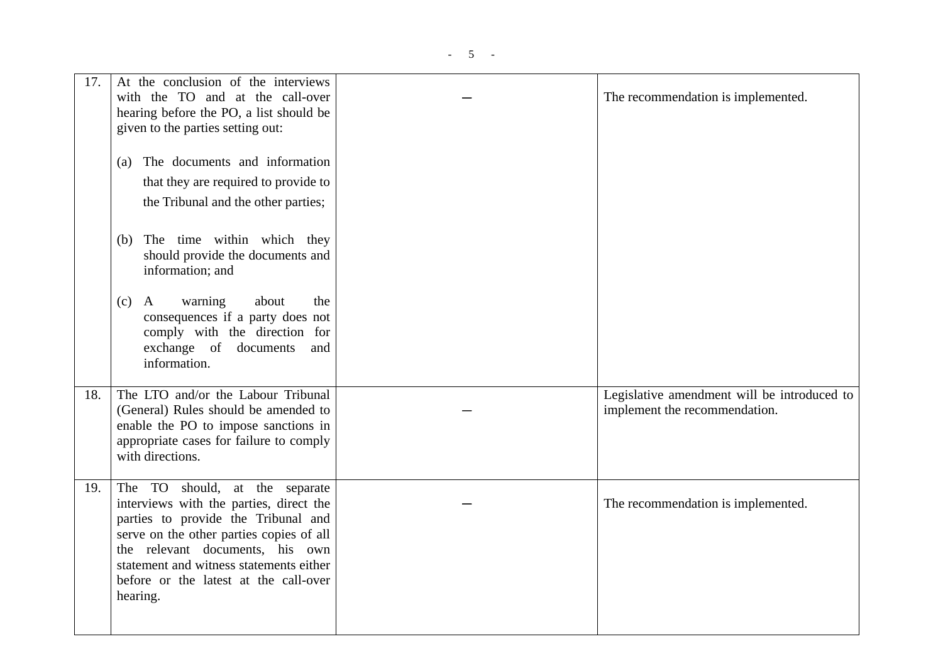| 17. | At the conclusion of the interviews<br>with the TO and at the call-over<br>hearing before the PO, a list should be<br>given to the parties setting out:                                                                                                                                         | The recommendation is implemented.                                           |
|-----|-------------------------------------------------------------------------------------------------------------------------------------------------------------------------------------------------------------------------------------------------------------------------------------------------|------------------------------------------------------------------------------|
|     | The documents and information<br>(a)<br>that they are required to provide to<br>the Tribunal and the other parties;                                                                                                                                                                             |                                                                              |
|     | The time within which they<br>(b)<br>should provide the documents and<br>information; and                                                                                                                                                                                                       |                                                                              |
|     | about<br>$\mathbf{A}$<br>warning<br>the<br>(c)<br>consequences if a party does not<br>comply with the direction for<br>exchange of documents<br>and<br>information.                                                                                                                             |                                                                              |
| 18. | The LTO and/or the Labour Tribunal<br>(General) Rules should be amended to<br>enable the PO to impose sanctions in<br>appropriate cases for failure to comply<br>with directions.                                                                                                               | Legislative amendment will be introduced to<br>implement the recommendation. |
| 19. | The TO should, at the separate<br>interviews with the parties, direct the<br>parties to provide the Tribunal and<br>serve on the other parties copies of all<br>the relevant documents, his own<br>statement and witness statements either<br>before or the latest at the call-over<br>hearing. | The recommendation is implemented.                                           |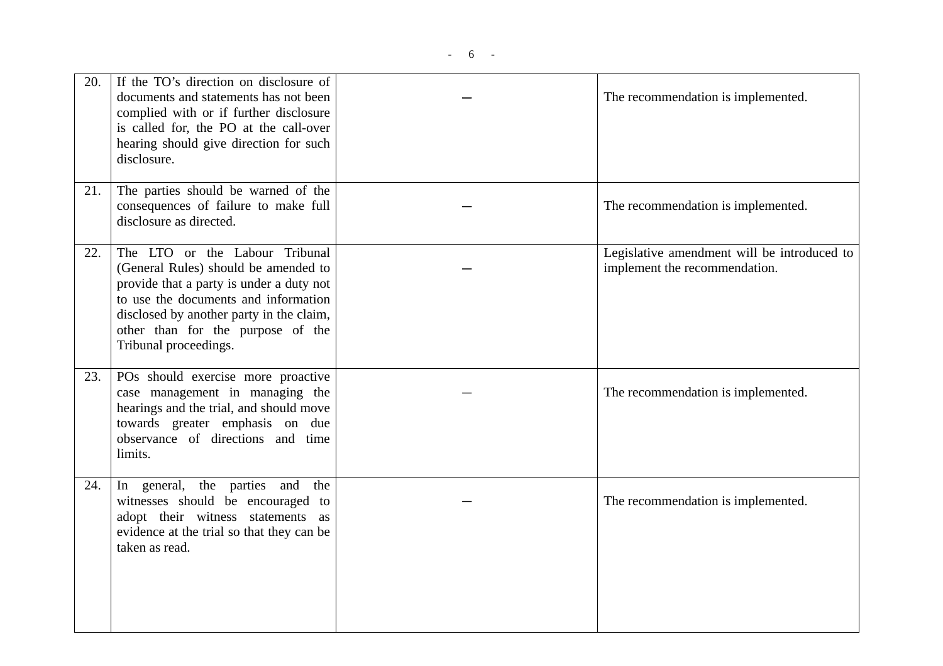| 20. | If the TO's direction on disclosure of<br>documents and statements has not been<br>complied with or if further disclosure<br>is called for, the PO at the call-over<br>hearing should give direction for such<br>disclosure.                                         | The recommendation is implemented.                                           |
|-----|----------------------------------------------------------------------------------------------------------------------------------------------------------------------------------------------------------------------------------------------------------------------|------------------------------------------------------------------------------|
| 21. | The parties should be warned of the<br>consequences of failure to make full<br>disclosure as directed.                                                                                                                                                               | The recommendation is implemented.                                           |
| 22. | The LTO or the Labour Tribunal<br>(General Rules) should be amended to<br>provide that a party is under a duty not<br>to use the documents and information<br>disclosed by another party in the claim,<br>other than for the purpose of the<br>Tribunal proceedings. | Legislative amendment will be introduced to<br>implement the recommendation. |
| 23. | POs should exercise more proactive<br>case management in managing the<br>hearings and the trial, and should move<br>towards greater emphasis on due<br>observance of directions and time<br>limits.                                                                  | The recommendation is implemented.                                           |
| 24. | In general, the parties and the<br>witnesses should be encouraged to<br>adopt their witness statements as<br>evidence at the trial so that they can be<br>taken as read.                                                                                             | The recommendation is implemented.                                           |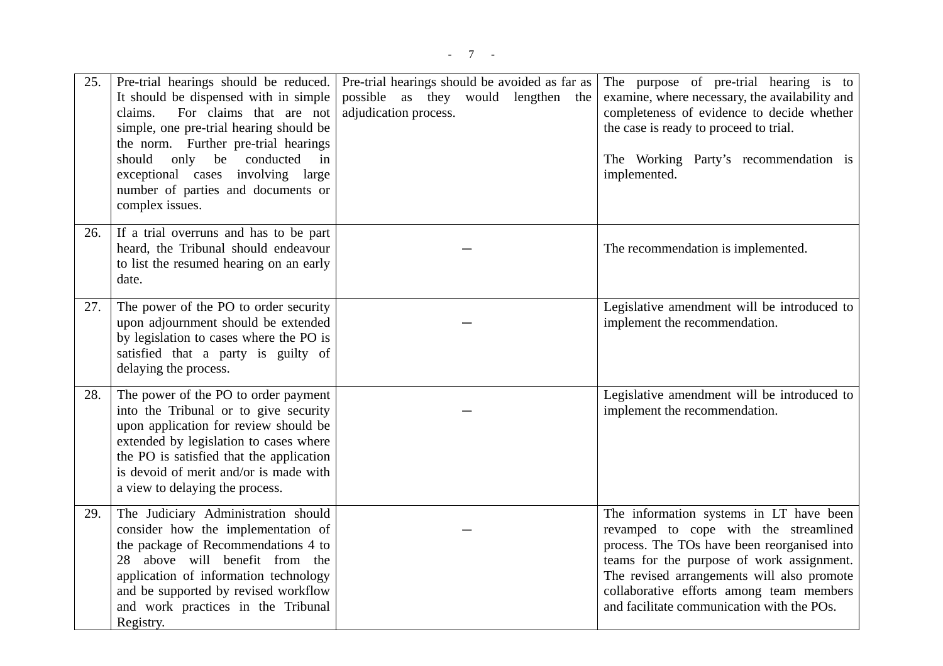| 25. | Pre-trial hearings should be reduced.<br>It should be dispensed with in simple<br>For claims that are not<br>claims.<br>simple, one pre-trial hearing should be<br>the norm. Further pre-trial hearings<br>only be<br>conducted<br>should<br>in<br>exceptional cases involving large<br>number of parties and documents or<br>complex issues. | Pre-trial hearings should be avoided as far as<br>possible as they would lengthen the<br>adjudication process. | The purpose of pre-trial hearing is to<br>examine, where necessary, the availability and<br>completeness of evidence to decide whether<br>the case is ready to proceed to trial.<br>The Working Party's recommendation is<br>implemented.                                                                            |
|-----|-----------------------------------------------------------------------------------------------------------------------------------------------------------------------------------------------------------------------------------------------------------------------------------------------------------------------------------------------|----------------------------------------------------------------------------------------------------------------|----------------------------------------------------------------------------------------------------------------------------------------------------------------------------------------------------------------------------------------------------------------------------------------------------------------------|
| 26. | If a trial overruns and has to be part<br>heard, the Tribunal should endeavour<br>to list the resumed hearing on an early<br>date.                                                                                                                                                                                                            |                                                                                                                | The recommendation is implemented.                                                                                                                                                                                                                                                                                   |
| 27. | The power of the PO to order security<br>upon adjournment should be extended<br>by legislation to cases where the PO is<br>satisfied that a party is guilty of<br>delaying the process.                                                                                                                                                       |                                                                                                                | Legislative amendment will be introduced to<br>implement the recommendation.                                                                                                                                                                                                                                         |
| 28. | The power of the PO to order payment<br>into the Tribunal or to give security<br>upon application for review should be<br>extended by legislation to cases where<br>the PO is satisfied that the application<br>is devoid of merit and/or is made with<br>a view to delaying the process.                                                     |                                                                                                                | Legislative amendment will be introduced to<br>implement the recommendation.                                                                                                                                                                                                                                         |
| 29. | The Judiciary Administration should<br>consider how the implementation of<br>the package of Recommendations 4 to<br>28 above will benefit from the<br>application of information technology<br>and be supported by revised workflow<br>and work practices in the Tribunal<br>Registry.                                                        |                                                                                                                | The information systems in LT have been<br>revamped to cope with the streamlined<br>process. The TOs have been reorganised into<br>teams for the purpose of work assignment.<br>The revised arrangements will also promote<br>collaborative efforts among team members<br>and facilitate communication with the POs. |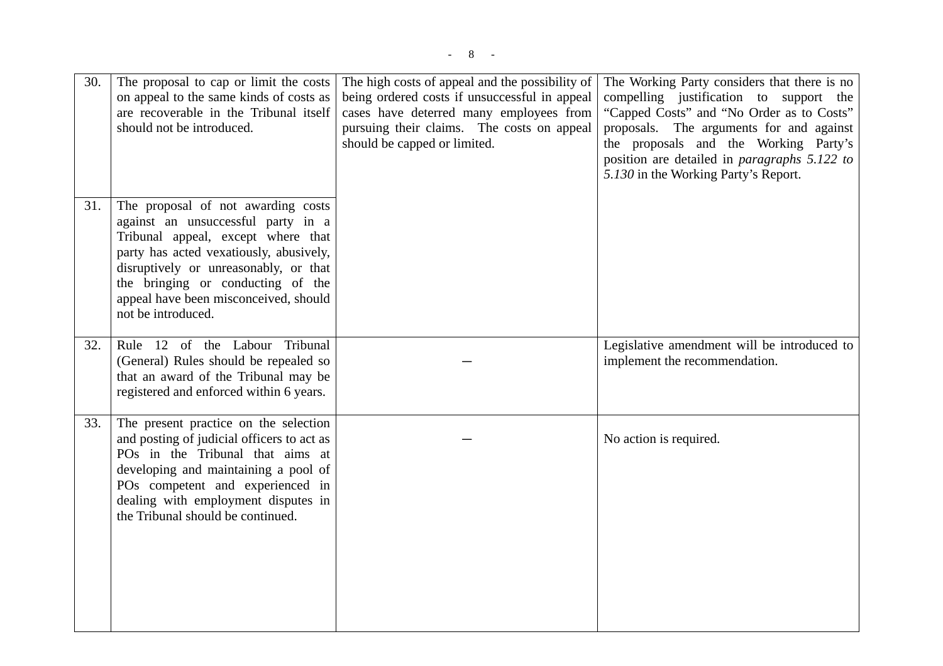| 30. | The proposal to cap or limit the costs<br>on appeal to the same kinds of costs as<br>are recoverable in the Tribunal itself<br>should not be introduced.                                                                                                                                               | The high costs of appeal and the possibility of<br>being ordered costs if unsuccessful in appeal<br>cases have deterred many employees from<br>pursuing their claims. The costs on appeal<br>should be capped or limited. | The Working Party considers that there is no<br>compelling justification to support the<br>"Capped Costs" and "No Order as to Costs"<br>proposals. The arguments for and against<br>the proposals and the Working Party's<br>position are detailed in <i>paragraphs</i> 5.122 to<br>5.130 in the Working Party's Report. |
|-----|--------------------------------------------------------------------------------------------------------------------------------------------------------------------------------------------------------------------------------------------------------------------------------------------------------|---------------------------------------------------------------------------------------------------------------------------------------------------------------------------------------------------------------------------|--------------------------------------------------------------------------------------------------------------------------------------------------------------------------------------------------------------------------------------------------------------------------------------------------------------------------|
| 31. | The proposal of not awarding costs<br>against an unsuccessful party in a<br>Tribunal appeal, except where that<br>party has acted vexatiously, abusively,<br>disruptively or unreasonably, or that<br>the bringing or conducting of the<br>appeal have been misconceived, should<br>not be introduced. |                                                                                                                                                                                                                           |                                                                                                                                                                                                                                                                                                                          |
| 32. | Rule 12 of the Labour Tribunal<br>(General) Rules should be repealed so<br>that an award of the Tribunal may be<br>registered and enforced within 6 years.                                                                                                                                             |                                                                                                                                                                                                                           | Legislative amendment will be introduced to<br>implement the recommendation.                                                                                                                                                                                                                                             |
| 33. | The present practice on the selection<br>and posting of judicial officers to act as<br>POs in the Tribunal that aims at<br>developing and maintaining a pool of<br>POs competent and experienced in<br>dealing with employment disputes in<br>the Tribunal should be continued.                        |                                                                                                                                                                                                                           | No action is required.                                                                                                                                                                                                                                                                                                   |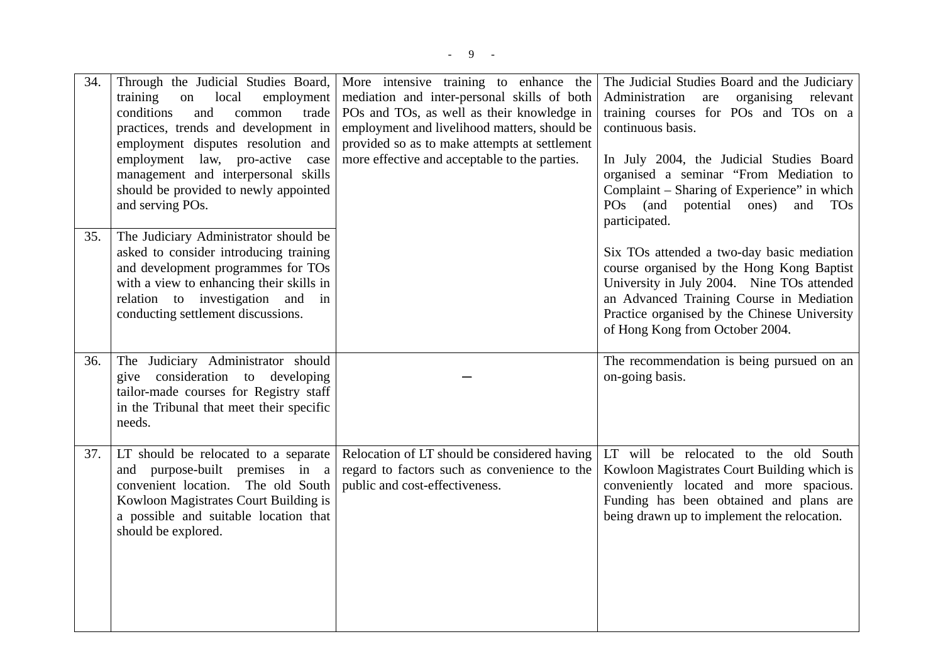| 34. | Through the Judicial Studies Board,<br>training<br>local<br>on<br>employment<br>conditions<br>and<br>common<br>trade<br>practices, trends and development in<br>employment disputes resolution and<br>employment law, pro-active<br>case<br>management and interpersonal skills<br>should be provided to newly appointed<br>and serving POs. | More intensive training to enhance the<br>mediation and inter-personal skills of both<br>POs and TOs, as well as their knowledge in<br>employment and livelihood matters, should be<br>provided so as to make attempts at settlement<br>more effective and acceptable to the parties. | The Judicial Studies Board and the Judiciary<br>Administration are organising relevant<br>training courses for POs and TOs on a<br>continuous basis.<br>In July 2004, the Judicial Studies Board<br>organised a seminar "From Mediation to<br>Complaint – Sharing of Experience" in which<br>(and<br>POS <sub>1</sub><br>potential<br>ones)<br>and<br><b>TOs</b><br>participated. |
|-----|----------------------------------------------------------------------------------------------------------------------------------------------------------------------------------------------------------------------------------------------------------------------------------------------------------------------------------------------|---------------------------------------------------------------------------------------------------------------------------------------------------------------------------------------------------------------------------------------------------------------------------------------|-----------------------------------------------------------------------------------------------------------------------------------------------------------------------------------------------------------------------------------------------------------------------------------------------------------------------------------------------------------------------------------|
| 35. | The Judiciary Administrator should be<br>asked to consider introducing training<br>and development programmes for TOs<br>with a view to enhancing their skills in<br>relation to investigation and in<br>conducting settlement discussions.                                                                                                  |                                                                                                                                                                                                                                                                                       | Six TOs attended a two-day basic mediation<br>course organised by the Hong Kong Baptist<br>University in July 2004. Nine TOs attended<br>an Advanced Training Course in Mediation<br>Practice organised by the Chinese University<br>of Hong Kong from October 2004.                                                                                                              |
| 36. | The Judiciary Administrator should<br>give consideration to developing<br>tailor-made courses for Registry staff<br>in the Tribunal that meet their specific<br>needs.                                                                                                                                                                       |                                                                                                                                                                                                                                                                                       | The recommendation is being pursued on an<br>on-going basis.                                                                                                                                                                                                                                                                                                                      |
| 37. | LT should be relocated to a separate<br>and purpose-built premises in a<br>convenient location. The old South<br>Kowloon Magistrates Court Building is<br>a possible and suitable location that<br>should be explored.                                                                                                                       | Relocation of LT should be considered having<br>regard to factors such as convenience to the<br>public and cost-effectiveness.                                                                                                                                                        | LT will be relocated to the old South<br>Kowloon Magistrates Court Building which is<br>conveniently located and more spacious.<br>Funding has been obtained and plans are<br>being drawn up to implement the relocation.                                                                                                                                                         |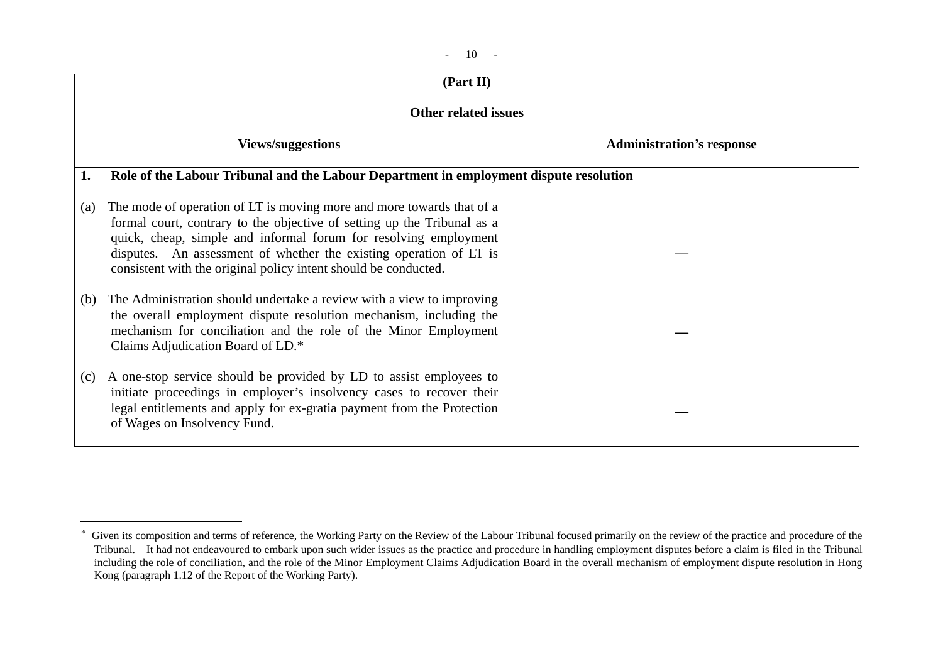| $\sim$ |  |
|--------|--|
|--------|--|

|     | (Part II)                                                                                                                                                                                                                                                                                                                                                     |                                  |
|-----|---------------------------------------------------------------------------------------------------------------------------------------------------------------------------------------------------------------------------------------------------------------------------------------------------------------------------------------------------------------|----------------------------------|
|     | <b>Other related issues</b>                                                                                                                                                                                                                                                                                                                                   |                                  |
|     | <b>Views/suggestions</b>                                                                                                                                                                                                                                                                                                                                      | <b>Administration's response</b> |
| 1.  | Role of the Labour Tribunal and the Labour Department in employment dispute resolution                                                                                                                                                                                                                                                                        |                                  |
| (a) | The mode of operation of LT is moving more and more towards that of a<br>formal court, contrary to the objective of setting up the Tribunal as a<br>quick, cheap, simple and informal forum for resolving employment<br>disputes. An assessment of whether the existing operation of LT is<br>consistent with the original policy intent should be conducted. |                                  |
| (b) | The Administration should undertake a review with a view to improving<br>the overall employment dispute resolution mechanism, including the<br>mechanism for conciliation and the role of the Minor Employment<br>Claims Adjudication Board of LD.*                                                                                                           |                                  |
| (c) | A one-stop service should be provided by LD to assist employees to<br>initiate proceedings in employer's insolvency cases to recover their<br>legal entitlements and apply for ex-gratia payment from the Protection<br>of Wages on Insolvency Fund.                                                                                                          |                                  |

<sup>\*</sup> Given its composition and terms of reference, the Working Party on the Review of the Labour Tribunal focused primarily on the review of the practice and procedure of the Tribunal. It had not endeavoured to embark upon such wider issues as the practice and procedure in handling employment disputes before a claim is filed in the Tribunal including the role of conciliation, and the role of the Minor Employment Claims Adjudication Board in the overall mechanism of employment dispute resolution in Hong Kong (paragraph 1.12 of the Report of the Working Party).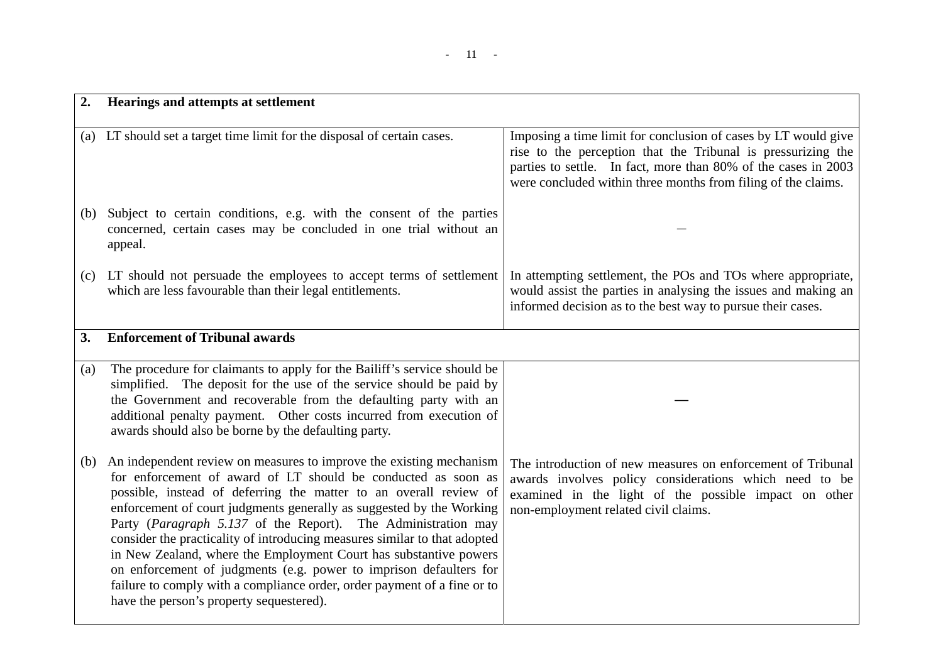## - 11 -

| 2.  | Hearings and attempts at settlement                                                                                                                                                                                                                                                                                                                                                                                                                                                                                                                                                                                                                                                                |                                                                                                                                                                                                                                                                   |
|-----|----------------------------------------------------------------------------------------------------------------------------------------------------------------------------------------------------------------------------------------------------------------------------------------------------------------------------------------------------------------------------------------------------------------------------------------------------------------------------------------------------------------------------------------------------------------------------------------------------------------------------------------------------------------------------------------------------|-------------------------------------------------------------------------------------------------------------------------------------------------------------------------------------------------------------------------------------------------------------------|
|     | (a) LT should set a target time limit for the disposal of certain cases.                                                                                                                                                                                                                                                                                                                                                                                                                                                                                                                                                                                                                           | Imposing a time limit for conclusion of cases by LT would give<br>rise to the perception that the Tribunal is pressurizing the<br>parties to settle. In fact, more than 80% of the cases in 2003<br>were concluded within three months from filing of the claims. |
| (b) | Subject to certain conditions, e.g. with the consent of the parties<br>concerned, certain cases may be concluded in one trial without an<br>appeal.                                                                                                                                                                                                                                                                                                                                                                                                                                                                                                                                                |                                                                                                                                                                                                                                                                   |
| (c) | LT should not persuade the employees to accept terms of settlement<br>which are less favourable than their legal entitlements.                                                                                                                                                                                                                                                                                                                                                                                                                                                                                                                                                                     | In attempting settlement, the POs and TOs where appropriate,<br>would assist the parties in analysing the issues and making an<br>informed decision as to the best way to pursue their cases.                                                                     |
| 3.  | <b>Enforcement of Tribunal awards</b>                                                                                                                                                                                                                                                                                                                                                                                                                                                                                                                                                                                                                                                              |                                                                                                                                                                                                                                                                   |
| (a) | The procedure for claimants to apply for the Bailiff's service should be<br>simplified. The deposit for the use of the service should be paid by<br>the Government and recoverable from the defaulting party with an<br>additional penalty payment. Other costs incurred from execution of<br>awards should also be borne by the defaulting party.                                                                                                                                                                                                                                                                                                                                                 |                                                                                                                                                                                                                                                                   |
| (b) | An independent review on measures to improve the existing mechanism<br>for enforcement of award of LT should be conducted as soon as<br>possible, instead of deferring the matter to an overall review of<br>enforcement of court judgments generally as suggested by the Working<br>Party (Paragraph 5.137 of the Report). The Administration may<br>consider the practicality of introducing measures similar to that adopted<br>in New Zealand, where the Employment Court has substantive powers<br>on enforcement of judgments (e.g. power to imprison defaulters for<br>failure to comply with a compliance order, order payment of a fine or to<br>have the person's property sequestered). | The introduction of new measures on enforcement of Tribunal<br>awards involves policy considerations which need to be<br>examined in the light of the possible impact on other<br>non-employment related civil claims.                                            |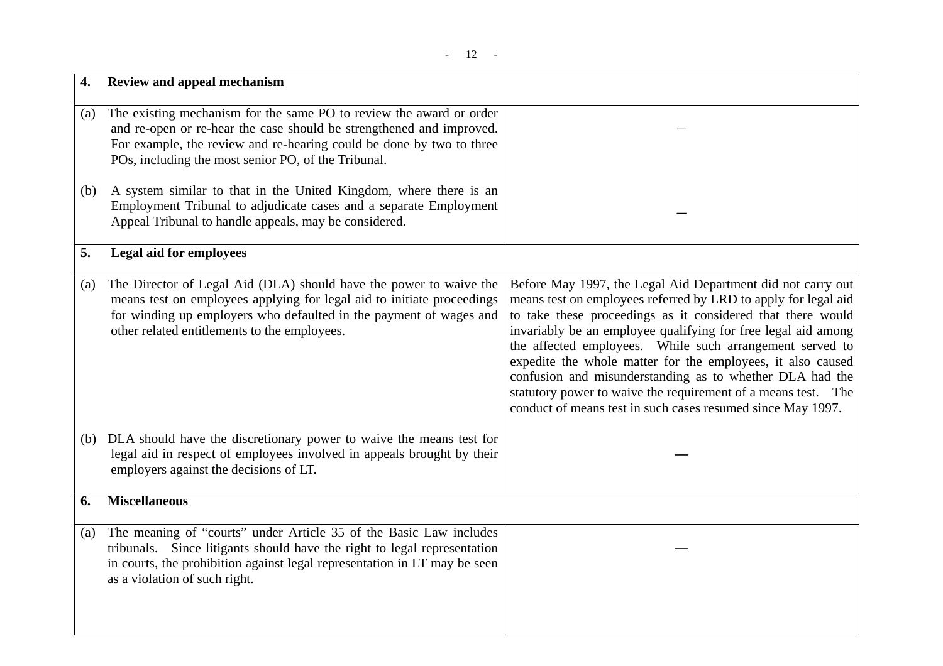|     | Review and appeal mechanism                                                                                                                                                                                                                                                |                                                                                                                                                                                                                                                                                                                                                                                                                                                                                                                                                                                      |
|-----|----------------------------------------------------------------------------------------------------------------------------------------------------------------------------------------------------------------------------------------------------------------------------|--------------------------------------------------------------------------------------------------------------------------------------------------------------------------------------------------------------------------------------------------------------------------------------------------------------------------------------------------------------------------------------------------------------------------------------------------------------------------------------------------------------------------------------------------------------------------------------|
| (a) | The existing mechanism for the same PO to review the award or order<br>and re-open or re-hear the case should be strengthened and improved.<br>For example, the review and re-hearing could be done by two to three<br>POs, including the most senior PO, of the Tribunal. |                                                                                                                                                                                                                                                                                                                                                                                                                                                                                                                                                                                      |
| (b) | A system similar to that in the United Kingdom, where there is an<br>Employment Tribunal to adjudicate cases and a separate Employment<br>Appeal Tribunal to handle appeals, may be considered.                                                                            |                                                                                                                                                                                                                                                                                                                                                                                                                                                                                                                                                                                      |
| 5.  | <b>Legal aid for employees</b>                                                                                                                                                                                                                                             |                                                                                                                                                                                                                                                                                                                                                                                                                                                                                                                                                                                      |
| (a) | The Director of Legal Aid (DLA) should have the power to waive the<br>means test on employees applying for legal aid to initiate proceedings<br>for winding up employers who defaulted in the payment of wages and<br>other related entitlements to the employees.         | Before May 1997, the Legal Aid Department did not carry out<br>means test on employees referred by LRD to apply for legal aid<br>to take these proceedings as it considered that there would<br>invariably be an employee qualifying for free legal aid among<br>the affected employees. While such arrangement served to<br>expedite the whole matter for the employees, it also caused<br>confusion and misunderstanding as to whether DLA had the<br>statutory power to waive the requirement of a means test. The<br>conduct of means test in such cases resumed since May 1997. |
|     | (b) DLA should have the discretionary power to waive the means test for<br>legal aid in respect of employees involved in appeals brought by their<br>employers against the decisions of LT.                                                                                |                                                                                                                                                                                                                                                                                                                                                                                                                                                                                                                                                                                      |
| 6.  | <b>Miscellaneous</b>                                                                                                                                                                                                                                                       |                                                                                                                                                                                                                                                                                                                                                                                                                                                                                                                                                                                      |
| (a) | The meaning of "courts" under Article 35 of the Basic Law includes<br>tribunals. Since litigants should have the right to legal representation<br>in courts, the prohibition against legal representation in LT may be seen<br>as a violation of such right.               |                                                                                                                                                                                                                                                                                                                                                                                                                                                                                                                                                                                      |